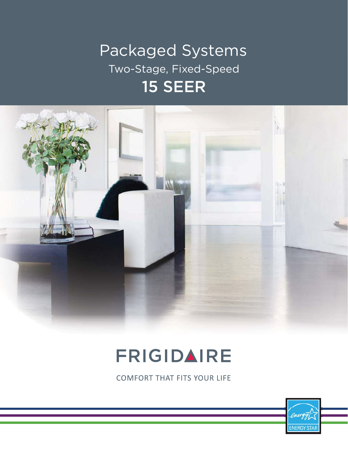## Packaged Systems Two-Stage, Fixed-Speed 15 SEER



## FRIGIDAIRE

**COMFORT THAT FITS YOUR LIFE** 

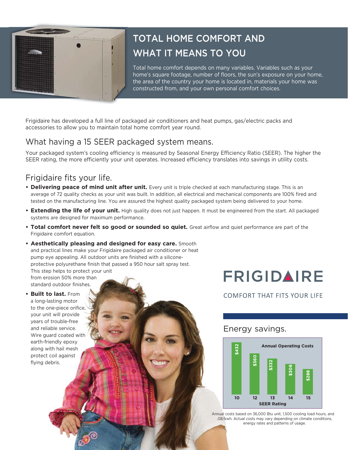

## TOTAL HOME COMFORT AND WHAT IT MEANS TO YOU

Total home comfort depends on many variables. Variables such as your home's square footage, number of floors, the sun's exposure on your home, the area of the country your home is located in, materials your home was constructed from, and your own personal comfort choices.

Frigidaire has developed a full line of packaged air conditioners and heat pumps, gas/electric packs and accessories to allow you to maintain total home comfort year round.

### What having a 15 SEER packaged system means.

Your packaged system's cooling efficiency is measured by Seasonal Energy Efficiency Ratio (SEER). The higher the SEER rating, the more efficiently your unit operates. Increased efficiency translates into savings in utility costs.

### Frigidaire fits your life.

- **•Delivering peace of mind unit after unit.** Every unit is triple checked at each manufacturing stage. This is an average of 72 quality checks as your unit was built. In addition, all electrical and mechanical components are 100% fired and tested on the manufacturing line. You are assured the highest quality packaged system being delivered to your home.
- **•Extending the life of your unit.** High quality does not just happen. It must be engineered from the start. All packaged systems are designed for maximum performance.
- **•Total comfort never felt so good or sounded so quiet.** Great airflow and quiet performance are part of the Frigidaire comfort equation.



**•Built to last.** From a long-lasting motor to the one-piece orifice, your unit will provide years of trouble-free and reliable service. Wire guard coated with earth-friendly epoxy along with hail mesh protect coil against flying debris.

FRIGIDAIRE

**COMFORT THAT FITS YOUR LIFE** 

#### Energy savings.



Annual costs based on 36,000 Btu unit, 1,500 cooling load hours, and .08/kwh. Actual costs may vary depending on climate conditions, energy rates and patterns of usage.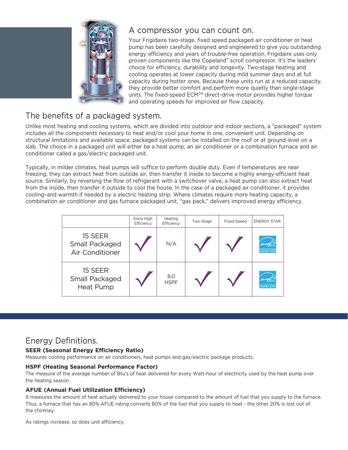

#### A compressor you can count on.

Your Frigidaire two-stage, fixed speed packaged air conditioner or heat pump has been carefully designed and engineered to give you outstanding energy efficiency and years of trouble-free operation. Frigidaire uses only proven components like the Copeland® scroll compressor. It's the leaders' choice for efficiency, durability and longevity. Two-stage heating and cooling operates at lower capacity during mild summer days and at full capacity during hotter ones. Because these units run at a reduced capacity, they provide better comfort and perform more quietly than single-stage units. The fixed-speed ECM™ direct-drive motor provides higher torque and operating speeds for improved air flow capacity.

## The benefits of a packaged system.

Unlike most heating and cooling systems, which are divided into outdoor and indoor sections, a "packaged" system includes all the components necessary to heat and/or cool your home in one, convenient unit. Depending on structural limitations and available space, packaged systems can be installed on the roof or at ground level on a slab. The choice in a packaged unit will either be a heat pump, an air conditioner or a combination furnace and air conditioner called a gas/electric packaged unit.

Typically, in milder climates, heat pumps will suffice to perform double duty. Even if temperatures are near freezing, they can extract heat from outside air, then transfer it inside to become a highly energy-efficient heat source. Similarly, by reversing the flow of refrigerant with a switchover valve, a heat pump can also extract heat from the inside, then transfer it outside to cool the house. In the case of a packaged air conditioner, it provides cooling–and warmth if needed by a electric heating strip. Where climates require more heating capacity, a combination air conditioner and gas furnace packaged unit, "gas pack," delivers improved energy efficiency.

|                                              | Extra High<br>Efficiency | Heating<br>Efficiency | Two-Stage | Fixed-Speed | <b>ENERGY STAR</b>            |
|----------------------------------------------|--------------------------|-----------------------|-----------|-------------|-------------------------------|
| 15 SEER<br>Small Packaged<br>Air Conditioner |                          | N/A                   |           |             | energy,<br><b>ENERGY STAF</b> |
| 15 SEER<br>Small Packaged<br>Heat Pump       |                          | 8.0<br><b>HSPF</b>    |           |             | <b>ENERGY STAR</b>            |

#### Energy Definitions.

#### **SEER (Seasonal Energy Efficiency Ratio)**

Measures cooling performance on air conditioners, heat pumps and gas/electric package products.

#### **HSPF (Heating Seasonal Performance Factor)**

The measure of the average number of Btu's of heat delivered for every Watt-hour of electricity used by the heat pump over the heating season.

#### **AFUE (Annual Fuel Utilization Efficiency)**

It measures the amount of heat actually delivered to your house compared to the amount of fuel that you supply to the furnace. Thus, a furnace that has an 80% AFUE rating converts 80% of the fuel that you supply to heat - the other 20% is lost out of the chimney.

As ratings increase, so does unit efficiency.